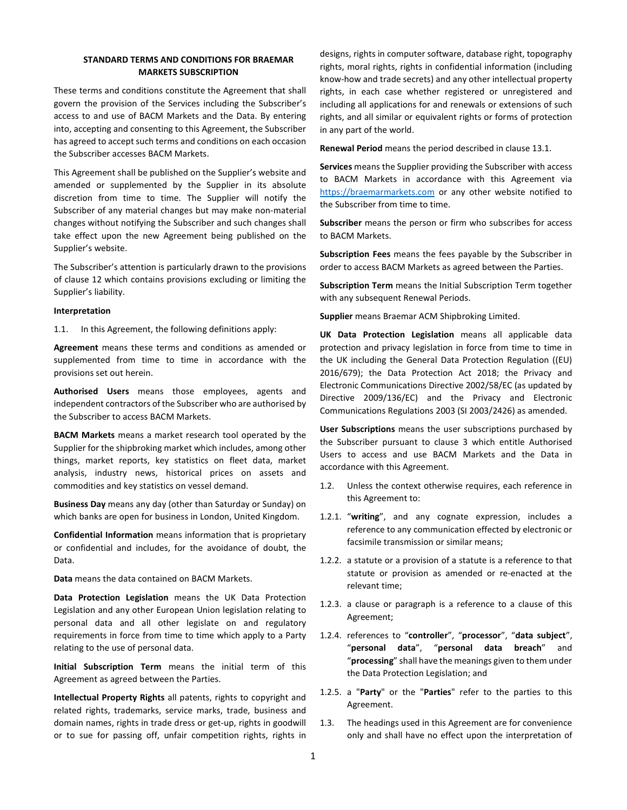## **STANDARD TERMS AND CONDITIONS FOR BRAEMAR MARKETS SUBSCRIPTION**

These terms and conditions constitute the Agreement that shall govern the provision of the Services including the Subscriber's access to and use of BACM Markets and the Data. By entering into, accepting and consenting to this Agreement, the Subscriber has agreed to accept such terms and conditions on each occasion the Subscriber accesses BACM Markets.

This Agreement shall be published on the Supplier's website and amended or supplemented by the Supplier in its absolute discretion from time to time. The Supplier will notify the Subscriber of any material changes but may make non-material changes without notifying the Subscriber and such changes shall take effect upon the new Agreement being published on the Supplier's website.

The Subscriber's attention is particularly drawn to the provisions of clause 12 which contains provisions excluding or limiting the Supplier's liability.

## **Interpretation**

1.1. In this Agreement, the following definitions apply:

**Agreement** means these terms and conditions as amended or supplemented from time to time in accordance with the provisions set out herein.

**Authorised Users** means those employees, agents and independent contractors of the Subscriber who are authorised by the Subscriber to access BACM Markets.

**BACM Markets** means a market research tool operated by the Supplier for the shipbroking market which includes, among other things, market reports, key statistics on fleet data, market analysis, industry news, historical prices on assets and commodities and key statistics on vessel demand.

**Business Day** means any day (other than Saturday or Sunday) on which banks are open for business in London, United Kingdom.

**Confidential Information** means information that is proprietary or confidential and includes, for the avoidance of doubt, the Data.

**Data** means the data contained on BACM Markets.

**Data Protection Legislation** means the UK Data Protection Legislation and any other European Union legislation relating to personal data and all other legislate on and regulatory requirements in force from time to time which apply to a Party relating to the use of personal data.

**Initial Subscription Term** means the initial term of this Agreement as agreed between the Parties.

**Intellectual Property Rights** all patents, rights to copyright and related rights, trademarks, service marks, trade, business and domain names, rights in trade dress or get-up, rights in goodwill or to sue for passing off, unfair competition rights, rights in designs, rights in computer software, database right, topography rights, moral rights, rights in confidential information (including know-how and trade secrets) and any other intellectual property rights, in each case whether registered or unregistered and including all applications for and renewals or extensions of such rights, and all similar or equivalent rights or forms of protection in any part of the world.

**Renewal Period** means the period described in clause 13.1.

**Services** means the Supplier providing the Subscriber with access to BACM Markets in accordance with this Agreement via https://braemarmarkets.com or any other website notified to the Subscriber from time to time.

**Subscriber** means the person or firm who subscribes for access to BACM Markets.

**Subscription Fees** means the fees payable by the Subscriber in order to access BACM Markets as agreed between the Parties.

**Subscription Term** means the Initial Subscription Term together with any subsequent Renewal Periods.

**Supplier** means Braemar ACM Shipbroking Limited.

**UK Data Protection Legislation** means all applicable data protection and privacy legislation in force from time to time in the UK including the General Data Protection Regulation ((EU) 2016/679); the Data Protection Act 2018; the Privacy and Electronic Communications Directive 2002/58/EC (as updated by Directive 2009/136/EC) and the Privacy and Electronic Communications Regulations 2003 (SI 2003/2426) as amended.

**User Subscriptions** means the user subscriptions purchased by the Subscriber pursuant to clause 3 which entitle Authorised Users to access and use BACM Markets and the Data in accordance with this Agreement.

- 1.2. Unless the context otherwise requires, each reference in this Agreement to:
- 1.2.1. "**writing**", and any cognate expression, includes a reference to any communication effected by electronic or facsimile transmission or similar means;
- 1.2.2. a statute or a provision of a statute is a reference to that statute or provision as amended or re-enacted at the relevant time;
- 1.2.3. a clause or paragraph is a reference to a clause of this Agreement;
- 1.2.4. references to "**controller**", "**processor**", "**data subject**", "**personal data**", "**personal data breach**" and "**processing**" shall have the meanings given to them under the Data Protection Legislation; and
- 1.2.5. a "**Party**" or the "**Parties**" refer to the parties to this Agreement.
- 1.3. The headings used in this Agreement are for convenience only and shall have no effect upon the interpretation of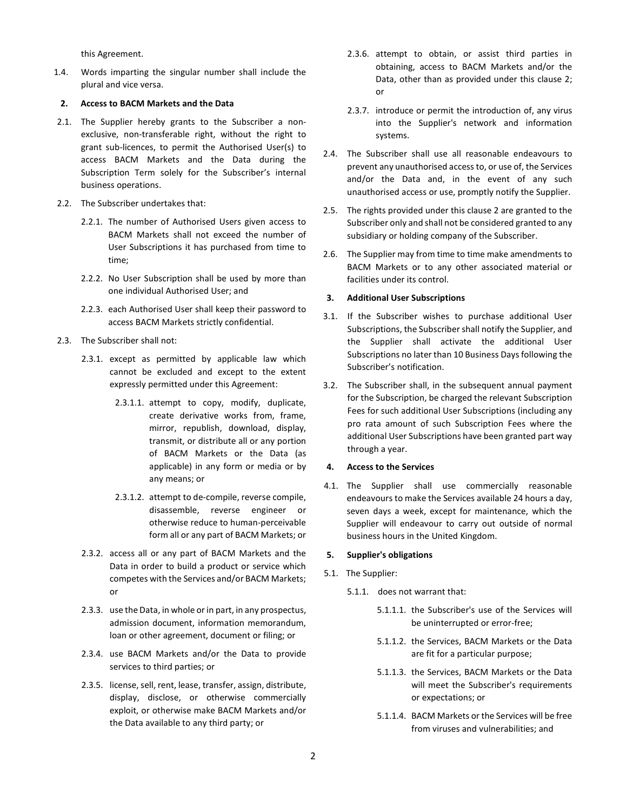this Agreement.

1.4. Words imparting the singular number shall include the plural and vice versa.

## **2. Access to BACM Markets and the Data**

- 2.1. The Supplier hereby grants to the Subscriber a nonexclusive, non-transferable right, without the right to grant sub-licences, to permit the Authorised User(s) to access BACM Markets and the Data during the Subscription Term solely for the Subscriber's internal business operations.
- 2.2. The Subscriber undertakes that:
	- 2.2.1. The number of Authorised Users given access to BACM Markets shall not exceed the number of User Subscriptions it has purchased from time to time;
	- 2.2.2. No User Subscription shall be used by more than one individual Authorised User; and
	- 2.2.3. each Authorised User shall keep their password to access BACM Markets strictly confidential.
- 2.3. The Subscriber shall not:
	- 2.3.1. except as permitted by applicable law which cannot be excluded and except to the extent expressly permitted under this Agreement:
		- 2.3.1.1. attempt to copy, modify, duplicate, create derivative works from, frame, mirror, republish, download, display, transmit, or distribute all or any portion of BACM Markets or the Data (as applicable) in any form or media or by any means; or
		- 2.3.1.2. attempt to de-compile, reverse compile, disassemble, reverse engineer or otherwise reduce to human-perceivable form all or any part of BACM Markets; or
	- 2.3.2. access all or any part of BACM Markets and the Data in order to build a product or service which competes with the Services and/or BACM Markets; or
	- 2.3.3. use the Data, in whole or in part, in any prospectus, admission document, information memorandum, loan or other agreement, document or filing; or
	- 2.3.4. use BACM Markets and/or the Data to provide services to third parties; or
	- 2.3.5. license, sell, rent, lease, transfer, assign, distribute, display, disclose, or otherwise commercially exploit, or otherwise make BACM Markets and/or the Data available to any third party; or
- 2.3.6. attempt to obtain, or assist third parties in obtaining, access to BACM Markets and/or the Data, other than as provided under this clause 2; or
- 2.3.7. introduce or permit the introduction of, any virus into the Supplier's network and information systems.
- 2.4. The Subscriber shall use all reasonable endeavours to prevent any unauthorised access to, or use of, the Services and/or the Data and, in the event of any such unauthorised access or use, promptly notify the Supplier.
- 2.5. The rights provided under this clause 2 are granted to the Subscriber only and shall not be considered granted to any subsidiary or holding company of the Subscriber.
- 2.6. The Supplier may from time to time make amendments to BACM Markets or to any other associated material or facilities under its control.

## **3. Additional User Subscriptions**

- 3.1. If the Subscriber wishes to purchase additional User Subscriptions, the Subscriber shall notify the Supplier, and the Supplier shall activate the additional User Subscriptions no later than 10 Business Days following the Subscriber's notification.
- 3.2. The Subscriber shall, in the subsequent annual payment for the Subscription, be charged the relevant Subscription Fees for such additional User Subscriptions (including any pro rata amount of such Subscription Fees where the additional User Subscriptions have been granted part way through a year.

## **4. Access to the Services**

4.1. The Supplier shall use commercially reasonable endeavours to make the Services available 24 hours a day, seven days a week, except for maintenance, which the Supplier will endeavour to carry out outside of normal business hours in the United Kingdom.

## **5. Supplier's obligations**

- 5.1. The Supplier:
	- 5.1.1. does not warrant that:
		- 5.1.1.1. the Subscriber's use of the Services will be uninterrupted or error-free;
		- 5.1.1.2. the Services, BACM Markets or the Data are fit for a particular purpose;
		- 5.1.1.3. the Services, BACM Markets or the Data will meet the Subscriber's requirements or expectations; or
		- 5.1.1.4. BACM Markets or the Services will be free from viruses and vulnerabilities; and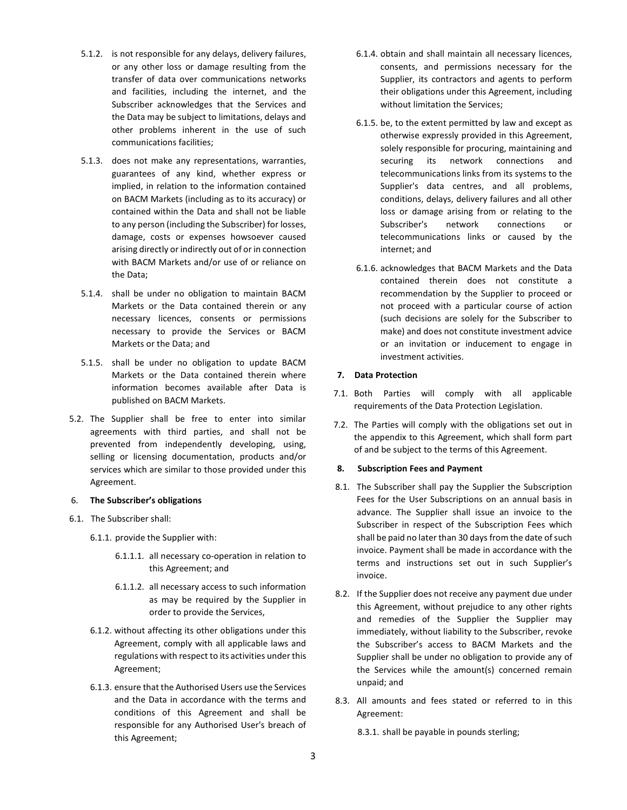- 5.1.2. is not responsible for any delays, delivery failures, or any other loss or damage resulting from the transfer of data over communications networks and facilities, including the internet, and the Subscriber acknowledges that the Services and the Data may be subject to limitations, delays and other problems inherent in the use of such communications facilities;
- 5.1.3. does not make any representations, warranties, guarantees of any kind, whether express or implied, in relation to the information contained on BACM Markets (including as to its accuracy) or contained within the Data and shall not be liable to any person (including the Subscriber) for losses, damage, costs or expenses howsoever caused arising directly or indirectly out of or in connection with BACM Markets and/or use of or reliance on the Data;
- 5.1.4. shall be under no obligation to maintain BACM Markets or the Data contained therein or any necessary licences, consents or permissions necessary to provide the Services or BACM Markets or the Data; and
- 5.1.5. shall be under no obligation to update BACM Markets or the Data contained therein where information becomes available after Data is published on BACM Markets.
- 5.2. The Supplier shall be free to enter into similar agreements with third parties, and shall not be prevented from independently developing, using, selling or licensing documentation, products and/or services which are similar to those provided under this Agreement.

# 6. **The Subscriber's obligations**

- 6.1. The Subscriber shall:
	- 6.1.1. provide the Supplier with:
		- 6.1.1.1. all necessary co-operation in relation to this Agreement; and
		- 6.1.1.2. all necessary access to such information as may be required by the Supplier in order to provide the Services,
	- 6.1.2. without affecting its other obligations under this Agreement, comply with all applicable laws and regulations with respect to its activities under this Agreement;
	- 6.1.3. ensure that the Authorised Users use the Services and the Data in accordance with the terms and conditions of this Agreement and shall be responsible for any Authorised User's breach of this Agreement;
- 6.1.4. obtain and shall maintain all necessary licences, consents, and permissions necessary for the Supplier, its contractors and agents to perform their obligations under this Agreement, including without limitation the Services;
- 6.1.5. be, to the extent permitted by law and except as otherwise expressly provided in this Agreement, solely responsible for procuring, maintaining and securing its network connections and telecommunications links from its systems to the Supplier's data centres, and all problems, conditions, delays, delivery failures and all other loss or damage arising from or relating to the Subscriber's network connections or telecommunications links or caused by the internet; and
- 6.1.6. acknowledges that BACM Markets and the Data contained therein does not constitute a recommendation by the Supplier to proceed or not proceed with a particular course of action (such decisions are solely for the Subscriber to make) and does not constitute investment advice or an invitation or inducement to engage in investment activities.

# **7. Data Protection**

- 7.1. Both Parties will comply with all applicable requirements of the Data Protection Legislation.
- 7.2. The Parties will comply with the obligations set out in the appendix to this Agreement, which shall form part of and be subject to the terms of this Agreement.

# **8. Subscription Fees and Payment**

- 8.1. The Subscriber shall pay the Supplier the Subscription Fees for the User Subscriptions on an annual basis in advance. The Supplier shall issue an invoice to the Subscriber in respect of the Subscription Fees which shall be paid no later than 30 days from the date of such invoice. Payment shall be made in accordance with the terms and instructions set out in such Supplier's invoice.
- 8.2. If the Supplier does not receive any payment due under this Agreement, without prejudice to any other rights and remedies of the Supplier the Supplier may immediately, without liability to the Subscriber, revoke the Subscriber's access to BACM Markets and the Supplier shall be under no obligation to provide any of the Services while the amount(s) concerned remain unpaid; and
- 8.3. All amounts and fees stated or referred to in this Agreement:

8.3.1. shall be payable in pounds sterling;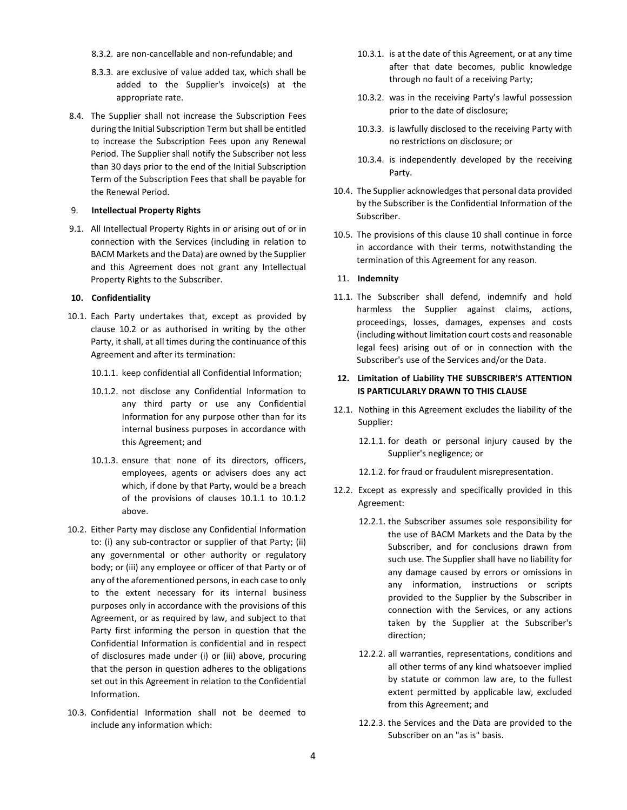- 8.3.2. are non-cancellable and non-refundable; and
- 8.3.3. are exclusive of value added tax, which shall be added to the Supplier's invoice(s) at the appropriate rate.
- 8.4. The Supplier shall not increase the Subscription Fees during the Initial Subscription Term but shall be entitled to increase the Subscription Fees upon any Renewal Period. The Supplier shall notify the Subscriber not less than 30 days prior to the end of the Initial Subscription Term of the Subscription Fees that shall be payable for the Renewal Period.

#### 9. **Intellectual Property Rights**

9.1. All Intellectual Property Rights in or arising out of or in connection with the Services (including in relation to BACM Markets and the Data) are owned by the Supplier and this Agreement does not grant any Intellectual Property Rights to the Subscriber.

## **10. Confidentiality**

- 10.1. Each Party undertakes that, except as provided by clause 10.2 or as authorised in writing by the other Party, it shall, at all times during the continuance of this Agreement and after its termination:
	- 10.1.1. keep confidential all Confidential Information;
	- 10.1.2. not disclose any Confidential Information to any third party or use any Confidential Information for any purpose other than for its internal business purposes in accordance with this Agreement; and
	- 10.1.3. ensure that none of its directors, officers, employees, agents or advisers does any act which, if done by that Party, would be a breach of the provisions of clauses 10.1.1 to 10.1.2 above.
- 10.2. Either Party may disclose any Confidential Information to: (i) any sub-contractor or supplier of that Party; (ii) any governmental or other authority or regulatory body; or (iii) any employee or officer of that Party or of any of the aforementioned persons, in each case to only to the extent necessary for its internal business purposes only in accordance with the provisions of this Agreement, or as required by law, and subject to that Party first informing the person in question that the Confidential Information is confidential and in respect of disclosures made under (i) or (iii) above, procuring that the person in question adheres to the obligations set out in this Agreement in relation to the Confidential Information.
- 10.3. Confidential Information shall not be deemed to include any information which:
- 10.3.1. is at the date of this Agreement, or at any time after that date becomes, public knowledge through no fault of a receiving Party;
- 10.3.2. was in the receiving Party's lawful possession prior to the date of disclosure;
- 10.3.3. is lawfully disclosed to the receiving Party with no restrictions on disclosure; or
- 10.3.4. is independently developed by the receiving Party.
- 10.4. The Supplier acknowledges that personal data provided by the Subscriber is the Confidential Information of the Subscriber.
- 10.5. The provisions of this clause 10 shall continue in force in accordance with their terms, notwithstanding the termination of this Agreement for any reason.

#### 11. **Indemnity**

11.1. The Subscriber shall defend, indemnify and hold harmless the Supplier against claims, actions, proceedings, losses, damages, expenses and costs (including without limitation court costs and reasonable legal fees) arising out of or in connection with the Subscriber's use of the Services and/or the Data.

# **12. Limitation of Liability THE SUBSCRIBER'S ATTENTION IS PARTICULARLY DRAWN TO THIS CLAUSE**

- 12.1. Nothing in this Agreement excludes the liability of the Supplier:
	- 12.1.1. for death or personal injury caused by the Supplier's negligence; or
	- 12.1.2. for fraud or fraudulent misrepresentation.
- 12.2. Except as expressly and specifically provided in this Agreement:
	- 12.2.1. the Subscriber assumes sole responsibility for the use of BACM Markets and the Data by the Subscriber, and for conclusions drawn from such use. The Supplier shall have no liability for any damage caused by errors or omissions in any information, instructions or scripts provided to the Supplier by the Subscriber in connection with the Services, or any actions taken by the Supplier at the Subscriber's direction;
	- 12.2.2. all warranties, representations, conditions and all other terms of any kind whatsoever implied by statute or common law are, to the fullest extent permitted by applicable law, excluded from this Agreement; and
	- 12.2.3. the Services and the Data are provided to the Subscriber on an "as is" basis.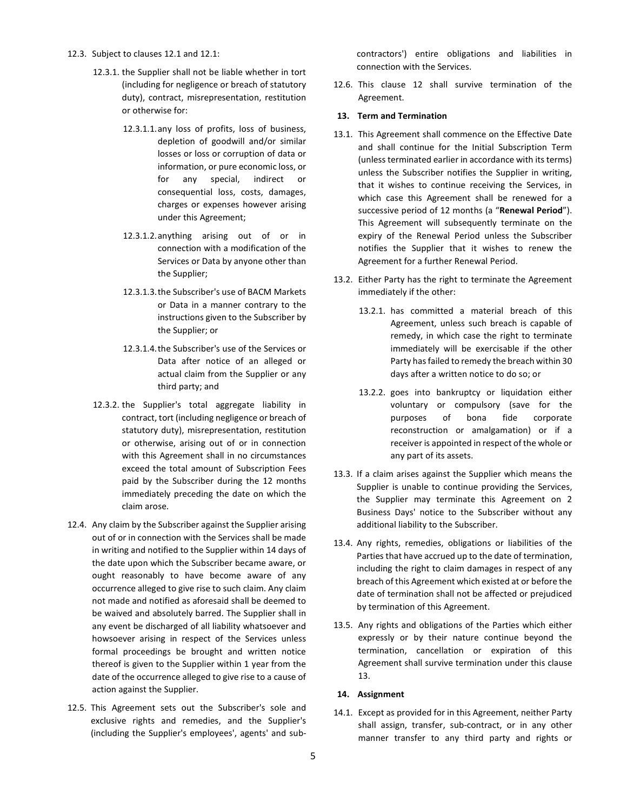#### 12.3. Subject to clauses 12.1 and 12.1:

- 12.3.1. the Supplier shall not be liable whether in tort (including for negligence or breach of statutory duty), contract, misrepresentation, restitution or otherwise for:
	- 12.3.1.1.any loss of profits, loss of business, depletion of goodwill and/or similar losses or loss or corruption of data or information, or pure economic loss, or for any special, indirect or consequential loss, costs, damages, charges or expenses however arising under this Agreement;
	- 12.3.1.2.anything arising out of or in connection with a modification of the Services or Data by anyone other than the Supplier;
	- 12.3.1.3.the Subscriber's use of BACM Markets or Data in a manner contrary to the instructions given to the Subscriber by the Supplier; or
	- 12.3.1.4.the Subscriber's use of the Services or Data after notice of an alleged or actual claim from the Supplier or any third party; and
- 12.3.2. the Supplier's total aggregate liability in contract, tort (including negligence or breach of statutory duty), misrepresentation, restitution or otherwise, arising out of or in connection with this Agreement shall in no circumstances exceed the total amount of Subscription Fees paid by the Subscriber during the 12 months immediately preceding the date on which the claim arose.
- 12.4. Any claim by the Subscriber against the Supplier arising out of or in connection with the Services shall be made in writing and notified to the Supplier within 14 days of the date upon which the Subscriber became aware, or ought reasonably to have become aware of any occurrence alleged to give rise to such claim. Any claim not made and notified as aforesaid shall be deemed to be waived and absolutely barred. The Supplier shall in any event be discharged of all liability whatsoever and howsoever arising in respect of the Services unless formal proceedings be brought and written notice thereof is given to the Supplier within 1 year from the date of the occurrence alleged to give rise to a cause of action against the Supplier.
- 12.5. This Agreement sets out the Subscriber's sole and exclusive rights and remedies, and the Supplier's (including the Supplier's employees', agents' and sub-

contractors') entire obligations and liabilities in connection with the Services.

12.6. This clause 12 shall survive termination of the Agreement.

#### **13. Term and Termination**

- 13.1. This Agreement shall commence on the Effective Date and shall continue for the Initial Subscription Term (unless terminated earlier in accordance with its terms) unless the Subscriber notifies the Supplier in writing, that it wishes to continue receiving the Services, in which case this Agreement shall be renewed for a successive period of 12 months (a "**Renewal Period**"). This Agreement will subsequently terminate on the expiry of the Renewal Period unless the Subscriber notifies the Supplier that it wishes to renew the Agreement for a further Renewal Period.
- 13.2. Either Party has the right to terminate the Agreement immediately if the other:
	- 13.2.1. has committed a material breach of this Agreement, unless such breach is capable of remedy, in which case the right to terminate immediately will be exercisable if the other Party has failed to remedy the breach within 30 days after a written notice to do so; or
	- 13.2.2. goes into bankruptcy or liquidation either voluntary or compulsory (save for the purposes of bona fide corporate reconstruction or amalgamation) or if a receiver is appointed in respect of the whole or any part of its assets.
- 13.3. If a claim arises against the Supplier which means the Supplier is unable to continue providing the Services, the Supplier may terminate this Agreement on 2 Business Days' notice to the Subscriber without any additional liability to the Subscriber.
- 13.4. Any rights, remedies, obligations or liabilities of the Parties that have accrued up to the date of termination, including the right to claim damages in respect of any breach of this Agreement which existed at or before the date of termination shall not be affected or prejudiced by termination of this Agreement.
- 13.5. Any rights and obligations of the Parties which either expressly or by their nature continue beyond the termination, cancellation or expiration of this Agreement shall survive termination under this clause 13.

## **14. Assignment**

14.1. Except as provided for in this Agreement, neither Party shall assign, transfer, sub-contract, or in any other manner transfer to any third party and rights or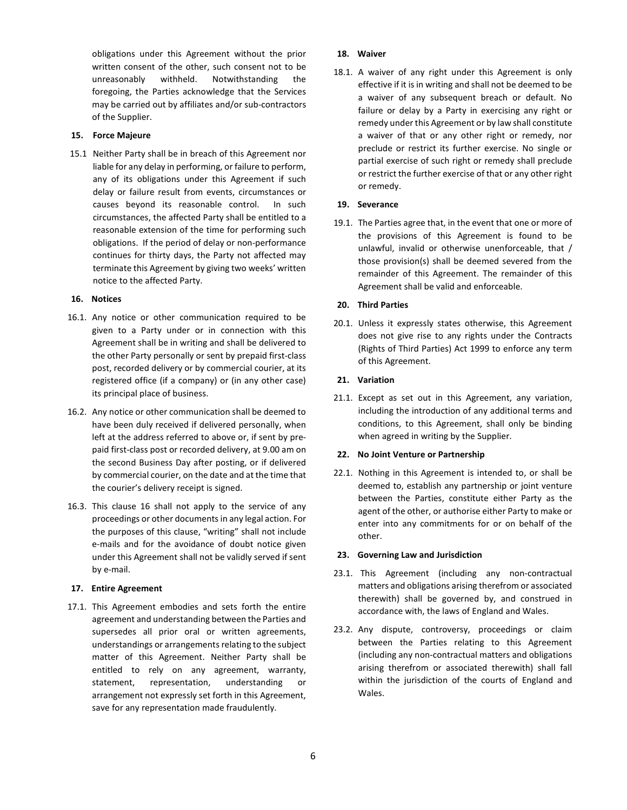obligations under this Agreement without the prior written consent of the other, such consent not to be unreasonably withheld. Notwithstanding the foregoing, the Parties acknowledge that the Services may be carried out by affiliates and/or sub-contractors of the Supplier.

# **15. Force Majeure**

15.1 Neither Party shall be in breach of this Agreement nor liable for any delay in performing, or failure to perform, any of its obligations under this Agreement if such delay or failure result from events, circumstances or causes beyond its reasonable control. In such circumstances, the affected Party shall be entitled to a reasonable extension of the time for performing such obligations. If the period of delay or non-performance continues for thirty days, the Party not affected may terminate this Agreement by giving two weeks' written notice to the affected Party.

## **16. Notices**

- 16.1. Any notice or other communication required to be given to a Party under or in connection with this Agreement shall be in writing and shall be delivered to the other Party personally or sent by prepaid first-class post, recorded delivery or by commercial courier, at its registered office (if a company) or (in any other case) its principal place of business.
- 16.2. Any notice or other communication shall be deemed to have been duly received if delivered personally, when left at the address referred to above or, if sent by prepaid first-class post or recorded delivery, at 9.00 am on the second Business Day after posting, or if delivered by commercial courier, on the date and at the time that the courier's delivery receipt is signed.
- 16.3. This clause 16 shall not apply to the service of any proceedings or other documents in any legal action. For the purposes of this clause, "writing" shall not include e-mails and for the avoidance of doubt notice given under this Agreement shall not be validly served if sent by e-mail.

## **17. Entire Agreement**

17.1. This Agreement embodies and sets forth the entire agreement and understanding between the Parties and supersedes all prior oral or written agreements, understandings or arrangements relating to the subject matter of this Agreement. Neither Party shall be entitled to rely on any agreement, warranty, statement, representation, understanding or arrangement not expressly set forth in this Agreement, save for any representation made fraudulently.

## **18. Waiver**

18.1. A waiver of any right under this Agreement is only effective if it is in writing and shall not be deemed to be a waiver of any subsequent breach or default. No failure or delay by a Party in exercising any right or remedy under this Agreement or by law shall constitute a waiver of that or any other right or remedy, nor preclude or restrict its further exercise. No single or partial exercise of such right or remedy shall preclude or restrict the further exercise of that or any other right or remedy.

## **19. Severance**

19.1. The Parties agree that, in the event that one or more of the provisions of this Agreement is found to be unlawful, invalid or otherwise unenforceable, that / those provision(s) shall be deemed severed from the remainder of this Agreement. The remainder of this Agreement shall be valid and enforceable.

## **20. Third Parties**

20.1. Unless it expressly states otherwise, this Agreement does not give rise to any rights under the Contracts (Rights of Third Parties) Act 1999 to enforce any term of this Agreement.

## **21. Variation**

21.1. Except as set out in this Agreement, any variation, including the introduction of any additional terms and conditions, to this Agreement, shall only be binding when agreed in writing by the Supplier.

## **22. No Joint Venture or Partnership**

22.1. Nothing in this Agreement is intended to, or shall be deemed to, establish any partnership or joint venture between the Parties, constitute either Party as the agent of the other, or authorise either Party to make or enter into any commitments for or on behalf of the other.

## **23. Governing Law and Jurisdiction**

- 23.1. This Agreement (including any non-contractual matters and obligations arising therefrom or associated therewith) shall be governed by, and construed in accordance with, the laws of England and Wales.
- 23.2. Any dispute, controversy, proceedings or claim between the Parties relating to this Agreement (including any non-contractual matters and obligations arising therefrom or associated therewith) shall fall within the jurisdiction of the courts of England and Wales.